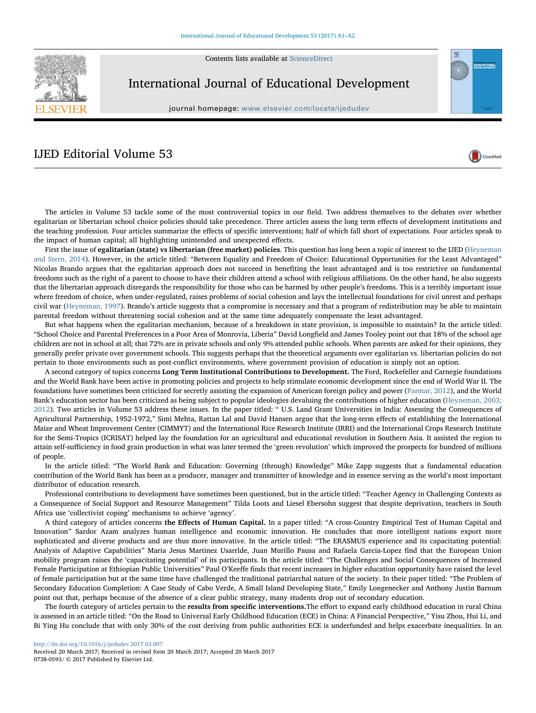Contents lists available at [ScienceDirect](http://www.sciencedirect.com/science/journal/07380593)



International Journal of Educational Development

journal homepage: [www.elsevier.com/locate/ijedudev](http://www.elsevier.com/locate/ijedudev)

CrossMark

## IJED Editorial Volume 53

The articles in Volume 53 tackle some of the most controversial topics in our field. Two address themselves to the debates over whether egalitarian or libertarian school choice policies should take precedence. Three articles assess the long term effects of development institutions and the teaching profession. Four articles summarize the effects of specific interventions; half of which fall short of expectations. Four articles speak to the impact of human capital; all highlighting unintended and unexpected effects.

First the issue of egalitarian (state) vs libertarian (free market) policies. This question has long been a topic of interest to the IJED ([Heyneman](#page-1-0) [and Stern, 2014\)](#page-1-0). However, in the article titled: "Between Equality and Freedom of Choice: Educational Opportunities for the Least Advantaged" Nicolas Brando argues that the egalitarian approach does not succeed in benefiting the least advantaged and is too restrictive on fundamental freedoms such as the right of a parent to choose to have their children attend a school with religious affiliations. On the other hand, he also suggests that the libertarian approach disregards the responsibility for those who can be harmed by other people's freedoms. This is a terribly important issue where freedom of choice, when under-regulated, raises problems of social cohesion and lays the intellectual foundations for civil unrest and perhaps civil war ([Heyneman, 1997\)](#page-1-1). Brando's article suggests that a compromise is necessary and that a program of redistribution may be able to maintain parental freedom without threatening social cohesion and at the same time adequately compensate the least advantaged.

But what happens when the egalitarian mechanism, because of a breakdown in state provision, is impossible to maintain? In the article titled: "School Choice and Parental Preferences in a Poor Area of Monrovia, Liberia" David Longfield and James Tooley point out that 18% of the school age children are not in school at all; that 72% are in private schools and only 9% attended public schools. When parents are asked for their opinions, they generally prefer private over government schools. This suggests perhaps that the theoretical arguments over egalitarian vs. libertarian policies do not pertain to those environments such as post-conflict environments, where government provision of education is simply not an option.

A second category of topics concerns Long Term Institutional Contributions to Development. The Ford, Rockefeller and Carnegie foundations and the World Bank have been active in promoting policies and projects to help stimulate economic development since the end of World War II. The foundations have sometimes been criticized for secretly assisting the expansion of American foreign policy and power ([Parmar, 2012\)](#page-1-2), and the World Bank's education sector has been criticized as being subject to popular ideologies devaluing the contributions of higher education [\(Heyneman, 2003;](#page-1-3) [2012\)](#page-1-3). Two articles in Volume 53 address these issues. In the paper titled: " U.S. Land Grant Universities in India: Assessing the Consequences of Agricultural Partnership, 1952-1972," Simi Mehta, Rattan Lal and David Hansen argue that the long-term effects of establishing the International Maize and Wheat Improvement Center (CIMMYT) and the International Rice Research Institute (IRRI) and the International Crops Research Institute for the Semi-Tropics (ICRISAT) helped lay the foundation for an agricultural and educational revolution in Southern Asia. It assisted the region to attain self-sufficiency in food grain production in what was later termed the 'green revolution' which improved the prospects for hundred of millions of people.

In the article titled: "The World Bank and Education: Governing (through) Knowledge" Mike Zapp suggests that a fundamental education contribution of the World Bank has been as a producer, manager and transmitter of knowledge and in essence serving as the world's most important distributor of education research.

Professional contributions to development have sometimes been questioned, but in the article titled: "Teacher Agency in Challenging Contexts as a Consequence of Social Support and Resource Management" Tilda Loots and Liesel Ebersohn suggest that despite deprivation, teachers in South Africa use 'collectivist coping' mechanisms to achieve 'agency'.

A third category of articles concerns the Effects of Human Capital. In a paper titled: "A cross-Country Empirical Test of Human Capital and Innovation" Sardor Azam analyzes human intelligence and economic innovation. He concludes that more intelligent nations export more sophisticated and diverse products and are thus more innovative. In the article titled: "The ERASMUS experience and its capacitating potential: Analysis of Adaptive Capabilities" Maria Jesus Martinez Usarrlde, Juan Murillo Pausa and Rafaela Garcia-Lopez find that the European Union mobility program raises the 'capacitating potential' of its participants. In the article titled: "The Challenges and Social Consequences of Increased Female Participation at Ethiopian Public Universities" Paul O'Keeffe finds that recent increases in higher education opportunity have raised the level of female participation but at the same time have challenged the traditional patriarchal nature of the society. In their paper titled: "The Problem of Secondary Education Completion: A Case Study of Cabo Verde, A Small Island Developing State," Emily Longenecker and Anthony Justin Barnum point out that, perhaps because of the absence of a clear public strategy, many students drop out of secondary education.

The fourth category of articles pertain to the results from specific interventions. The effort to expand early childhood education in rural China is assessed in an article titled: "On the Road to Universal Early Childhood Education (ECE) in China: A Financial Perspective," Yisu Zhou, Hui Li, and Bi Ying Hu conclude that with only 30% of the cost deriving from public authorities ECE is underfunded and helps exacerbate inequalities. In an

<http://dx.doi.org/10.1016/j.ijedudev.2017.03.007>

Received 20 March 2017; Received in revised form 20 March 2017; Accepted 20 March 2017 0738-0593/ © 2017 Published by Elsevier Ltd.